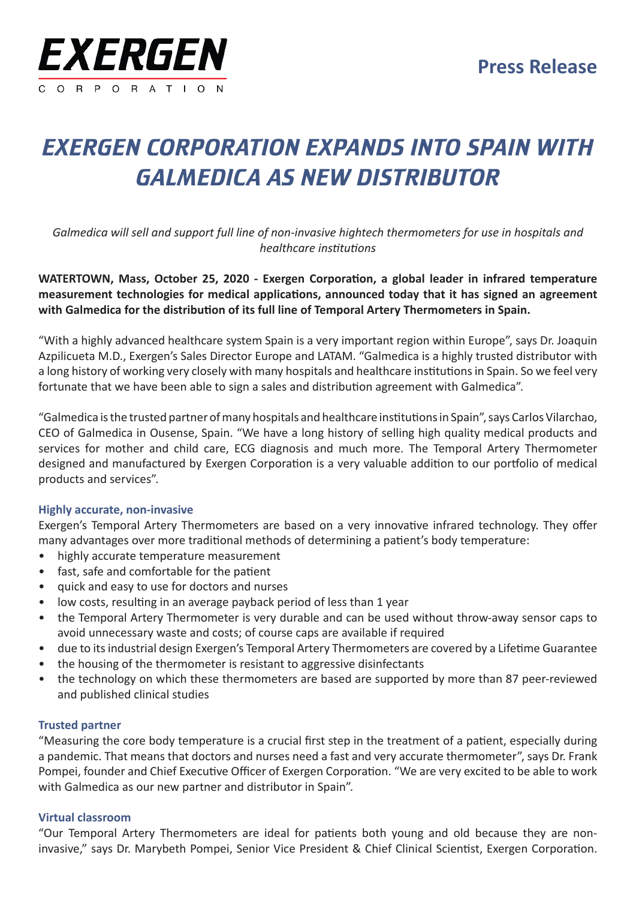

# *EXERGEN CORPORATION EXPANDS INTO SPAIN WITH GALMEDICA AS NEW DISTRIBUTOR*

*Galmedica will sell and support full line of non-invasive hightech thermometers for use in hospitals and healthcare institutions*

**WATERTOWN, Mass, October 25, 2020 - Exergen Corporation, a global leader in infrared temperature measurement technologies for medical applications, announced today that it has signed an agreement with Galmedica for the distribution of its full line of Temporal Artery Thermometers in Spain.**

"With a highly advanced healthcare system Spain is a very important region within Europe", says Dr. Joaquin Azpilicueta M.D., Exergen's Sales Director Europe and LATAM. "Galmedica is a highly trusted distributor with a long history of working very closely with many hospitals and healthcare institutions in Spain. So we feel very fortunate that we have been able to sign a sales and distribution agreement with Galmedica".

"Galmedica is the trusted partner of many hospitals and healthcare institutions in Spain", says Carlos Vilarchao, CEO of Galmedica in Ousense, Spain. "We have a long history of selling high quality medical products and services for mother and child care, ECG diagnosis and much more. The Temporal Artery Thermometer designed and manufactured by Exergen Corporation is a very valuable addition to our portfolio of medical products and services".

### **Highly accurate, non-invasive**

Exergen's Temporal Artery Thermometers are based on a very innovative infrared technology. They offer many advantages over more traditional methods of determining a patient's body temperature:

- highly accurate temperature measurement
- fast, safe and comfortable for the patient
- quick and easy to use for doctors and nurses
- low costs, resulting in an average payback period of less than 1 year
- the Temporal Artery Thermometer is very durable and can be used without throw-away sensor caps to avoid unnecessary waste and costs; of course caps are available if required
- due to its industrial design Exergen's Temporal Artery Thermometers are covered by a Lifetime Guarantee
- the housing of the thermometer is resistant to aggressive disinfectants
- the technology on which these thermometers are based are supported by more than 87 peer-reviewed and published clinical studies

### **Trusted partner**

"Measuring the core body temperature is a crucial first step in the treatment of a patient, especially during a pandemic. That means that doctors and nurses need a fast and very accurate thermometer", says Dr. Frank Pompei, founder and Chief Executive Officer of Exergen Corporation. "We are very excited to be able to work with Galmedica as our new partner and distributor in Spain".

### **Virtual classroom**

"Our Temporal Artery Thermometers are ideal for patients both young and old because they are noninvasive," says Dr. Marybeth Pompei, Senior Vice President & Chief Clinical Scientist, Exergen Corporation.